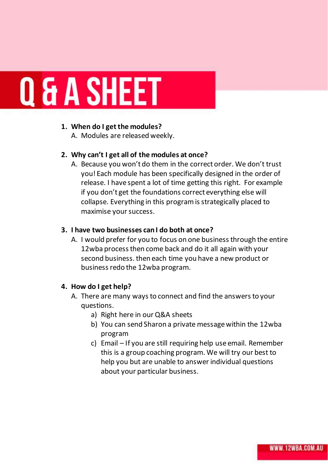# **Q & A SHEET**

#### **1. When do I get the modules?**

A. Modules are released weekly.

# **2. Why can't I get all of the modules at once?**

A. Because you won't do them in the correct order. We don't trust you! Each module has been specifically designed in the order of release. I have spent a lot of time getting this right. For example if you don't get the foundations correct everything else will collapse. Everything in this program is strategically placed to maximise your success.

## **3. I have two businesses can I do both at once?**

A. I would prefer for you to focus on one business through the entire 12wba process then come back and do it all again with your second business. then each time you have a new product or business redo the 12wba program.

## **4. How do I get help?**

- A. There are many ways to connect and find the answers to your questions.
	- a) Right here in our Q&A sheets
	- b) You can send Sharon a private message within the 12wba program
	- c) Email If you are still requiring help use email. Remember this is a group coaching program. We will try our best to help you but are unable to answer individual questions about your particular business.